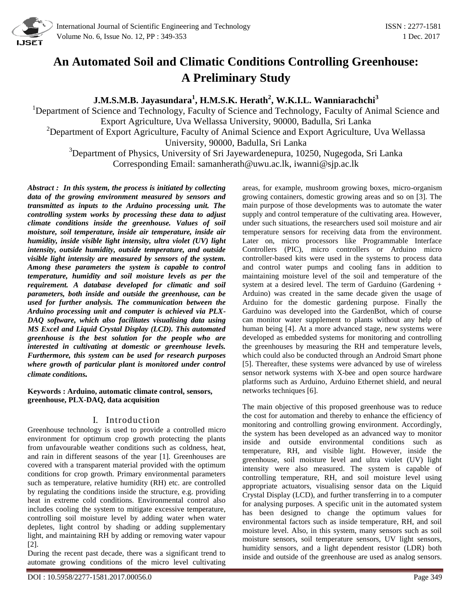

# **An Automated Soil and Climatic Conditions Controlling Greenhouse: A Preliminary Study**

**J.M.S.M.B. Jayasundara<sup>1</sup> , H.M.S.K. Herath<sup>2</sup> , W.K.I.L. Wanniarachchi<sup>3</sup>**

<sup>1</sup>Department of Science and Technology, Faculty of Science and Technology, Faculty of Animal Science and Export Agriculture, Uva Wellassa University, 90000, Badulla, Sri Lanka <sup>2</sup>Department of Export Agriculture, Faculty of Animal Science and Export Agriculture, Uva Wellassa University, 90000, Badulla, Sri Lanka <sup>3</sup>Department of Physics, University of Sri Jayewardenepura, 10250, Nugegoda, Sri Lanka

Corresponding Email: samanherath@uwu.ac.lk, iwanni@sjp.ac.lk

*Abstract : In this system, the process is initiated by collecting data of the growing environment measured by sensors and transmitted as inputs to the Arduino processing unit. The controlling system works by processing these data to adjust climate conditions inside the greenhouse. Values of soil moisture, soil temperature, inside air temperature, inside air humidity, inside visible light intensity, ultra violet (UV) light intensity, outside humidity, outside temperature, and outside visible light intensity are measured by sensors of the system. Among these parameters the system is capable to control temperature, humidity and soil moisture levels as per the requirement. A database developed for climatic and soil parameters, both inside and outside the greenhouse, can be used for further analysis. The communication between the Arduino processing unit and computer is achieved via PLX-DAQ software, which also facilitates visualising data using MS Excel and Liquid Crystal Display (LCD). This automated greenhouse is the best solution for the people who are interested in cultivating at domestic or greenhouse levels. Furthermore, this system can be used for research purposes where growth of particular plant is monitored under control climate conditions.*

**Keywords : Arduino, automatic climate control, sensors, greenhouse, PLX-DAQ, data acquisition**

# I. Introduction

Greenhouse technology is used to provide a controlled micro environment for optimum crop growth protecting the plants from unfavourable weather conditions such as coldness, heat, and rain in different seasons of the year [1]. Greenhouses are covered with a transparent material provided with the optimum conditions for crop growth. Primary environmental parameters such as temperature, relative humidity (RH) etc. are controlled by regulating the conditions inside the structure, e.g. providing heat in extreme cold conditions. Environmental control also includes cooling the system to mitigate excessive temperature, controlling soil moisture level by adding water when water depletes, light control by shading or adding supplementary light, and maintaining RH by adding or removing water vapour [2].

During the recent past decade, there was a significant trend to automate growing conditions of the micro level cultivating

areas, for example, mushroom growing boxes, micro-organism growing containers, domestic growing areas and so on [3]. The main purpose of those developments was to automate the water supply and control temperature of the cultivating area. However, under such situations, the researchers used soil moisture and air temperature sensors for receiving data from the environment. Later on, micro processors like Programmable Interface Controllers (PIC), micro controllers or Arduino micro controller-based kits were used in the systems to process data and control water pumps and cooling fans in addition to maintaining moisture level of the soil and temperature of the system at a desired level. The term of Garduino (Gardening + Arduino) was created in the same decade given the usage of Arduino for the domestic gardening purpose. Finally the Garduino was developed into the GardenBot, which of course can monitor water supplement to plants without any help of human being [4]. At a more advanced stage, new systems were developed as embedded systems for monitoring and controlling the greenhouses by measuring the RH and temperature levels, which could also be conducted through an Android Smart phone [5]. Thereafter, these systems were advanced by use of wireless sensor network systems with X-bee and open source hardware platforms such as Arduino, Arduino Ethernet shield, and neural networks techniques [6].

The main objective of this proposed greenhouse was to reduce the cost for automation and thereby to enhance the efficiency of monitoring and controlling growing environment. Accordingly, the system has been developed as an advanced way to monitor inside and outside environmental conditions such as temperature, RH, and visible light. However, inside the greenhouse, soil moisture level and ultra violet (UV) light intensity were also measured. The system is capable of controlling temperature, RH, and soil moisture level using appropriate actuators, visualising sensor data on the Liquid Crystal Display (LCD), and further transferring in to a computer for analysing purposes. A specific unit in the automated system has been designed to change the optimum values for environmental factors such as inside temperature, RH, and soil moisture level. Also, in this system, many sensors such as soil moisture sensors, soil temperature sensors, UV light sensors, humidity sensors, and a light dependent resistor (LDR) both inside and outside of the greenhouse are used as analog sensors.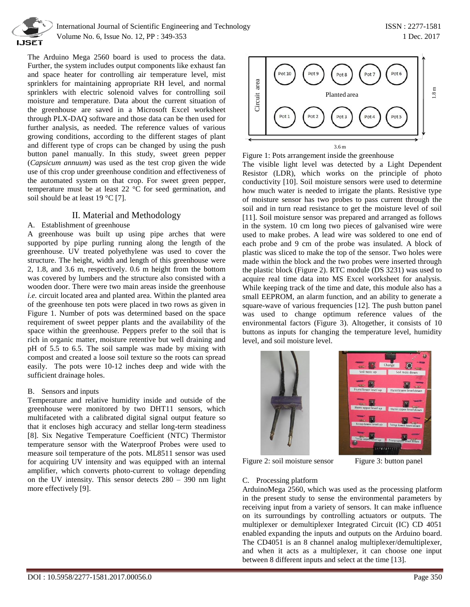

 International Journal of Scientific Engineering and Technology ISSN : 2277-1581 Volume No. 6, Issue No. 12, PP : 349-353 1 Dec. 2017

The Arduino Mega 2560 board is used to process the data. Further, the system includes output components like exhaust fan and space heater for controlling air temperature level, mist sprinklers for maintaining appropriate RH level, and normal sprinklers with electric solenoid valves for controlling soil moisture and temperature. Data about the current situation of the greenhouse are saved in a Microsoft Excel worksheet through PLX-DAQ software and those data can be then used for further analysis, as needed. The reference values of various growing conditions, according to the different stages of plant and different type of crops can be changed by using the push button panel manually. In this study, sweet green pepper (*Capsicum annuum)* was used as the test crop given the wide use of this crop under greenhouse condition and effectiveness of the automated system on that crop. For sweet green pepper, temperature must be at least 22 °C for seed germination, and soil should be at least 19 °C [7].

### II. Material and Methodology

#### A. Establishment of greenhouse

A greenhouse was built up using pipe arches that were supported by pipe purling running along the length of the greenhouse. UV treated polyethylene was used to cover the structure. The height, width and length of this greenhouse were 2, 1.8, and 3.6 m, respectively. 0.6 m height from the bottom was covered by lumbers and the structure also consisted with a wooden door. There were two main areas inside the greenhouse *i.e.* circuit located area and planted area. Within the planted area of the greenhouse ten pots were placed in two rows as given in Figure 1. Number of pots was determined based on the space requirement of sweet pepper plants and the availability of the space within the greenhouse. Peppers prefer to the soil that is rich in organic matter, moisture retentive but well draining and pH of 5.5 to 6.5. The soil sample was made by mixing with compost and created a loose soil texture so the roots can spread easily. The pots were 10-12 inches deep and wide with the sufficient drainage holes.

#### B. Sensors and inputs

Temperature and relative humidity inside and outside of the greenhouse were monitored by two DHT11 sensors, which multifaceted with a calibrated digital signal output feature so that it encloses high accuracy and stellar long-term steadiness [8]. Six Negative Temperature Coefficient (NTC) Thermistor temperature sensor with the Waterproof Probes were used to measure soil temperature of the pots. ML8511 sensor was used for acquiring UV intensity and was equipped with an internal amplifier, which converts photo-current to voltage depending on the UV intensity. This sensor detects 280 – 390 nm light more effectively [9].



Figure 1: Pots arrangement inside the greenhouse

The visible light level was detected by a Light Dependent Resistor (LDR), which works on the principle of photo conductivity [10]. Soil moisture sensors were used to determine how much water is needed to irrigate the plants. Resistive type of moisture sensor has two probes to pass current through the soil and in turn read resistance to get the moisture level of soil [11]. Soil moisture sensor was prepared and arranged as follows in the system. 10 cm long two pieces of galvanised wire were used to make probes. A lead wire was soldered to one end of each probe and 9 cm of the probe was insulated. A block of plastic was sliced to make the top of the sensor. Two holes were made within the block and the two probes were inserted through the plastic block (Figure 2). RTC module (DS 3231) was used to acquire real time data into MS Excel worksheet for analysis. While keeping track of the time and date, this module also has a small EEPROM, an alarm function, and an ability to generate a square-wave of various frequencies [12]. The push button panel was used to change optimum reference values of the environmental factors (Figure 3). Altogether, it consists of 10 buttons as inputs for changing the temperature level, humidity level, and soil moisture level.





Figure 2: soil moisture sensor Figure 3: button panel

#### C. Processing platform

ArduinoMega 2560, which was used as the processing platform in the present study to sense the environmental parameters by receiving input from a variety of sensors. It can make influence on its surroundings by controlling actuators or outputs. The multiplexer or demultiplexer Integrated Circuit (IC) CD 4051 enabled expanding the inputs and outputs on the Arduino board. The CD4051 is an 8 channel analog multiplexer/demultiplexer, and when it acts as a multiplexer, it can choose one input between 8 different inputs and select at the time [13].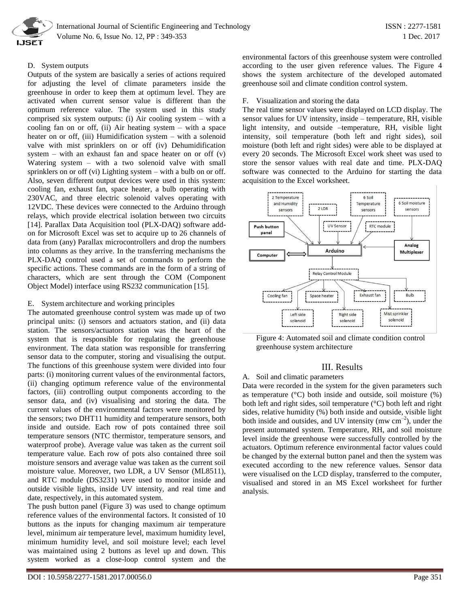

International Journal of Scientific Engineering and Technology ISSN : 2277-1581 Volume No. 6, Issue No. 12, PP : 349-353 1 Dec. 2017

#### D. System outputs

Outputs of the system are basically a series of actions required for adjusting the level of climate parameters inside the greenhouse in order to keep them at optimum level. They are activated when current sensor value is different than the optimum reference value. The system used in this study comprised six system outputs: (i) Air cooling system – with a cooling fan on or off, (ii) Air heating system – with a space heater on or off, (iii) Humidification system – with a solenoid valve with mist sprinklers on or off (iv) Dehumidification system – with an exhaust fan and space heater on or off (v) Watering system – with a two solenoid valve with small sprinklers on or off (vi) Lighting system – with a bulb on or off. Also, seven different output devices were used in this system: cooling fan, exhaust fan, space heater, a bulb operating with 230VAC, and three electric solenoid valves operating with 12VDC. These devices were connected to the Arduino through relays, which provide electrical isolation between two circuits [14]. Parallax Data Acquisition tool (PLX-DAQ) software addon for Microsoft Excel was set to acquire up to 26 channels of data from (any) Parallax microcontrollers and drop the numbers into columns as they arrive. In the transferring mechanisms the PLX-DAQ control used a set of commands to perform the specific actions. These commands are in the form of a string of characters, which are sent through the COM (Component Object Model) interface using RS232 communication [15].

#### E. System architecture and working principles

The automated greenhouse control system was made up of two principal units: (i) sensors and actuators station, and (ii) data station. The sensors/actuators station was the heart of the system that is responsible for regulating the greenhouse environment. The data station was responsible for transferring sensor data to the computer, storing and visualising the output. The functions of this greenhouse system were divided into four parts: (i) monitoring current values of the environmental factors, (ii) changing optimum reference value of the environmental factors, (iii) controlling output components according to the sensor data, and (iv) visualising and storing the data. The current values of the environmental factors were monitored by the sensors; two DHT11 humidity and temperature sensors, both inside and outside. Each row of pots contained three soil temperature sensors (NTC thermistor, temperature sensors, and waterproof probe). Average value was taken as the current soil temperature value. Each row of pots also contained three soil moisture sensors and average value was taken as the current soil moisture value. Moreover, two LDR, a UV Sensor (ML8511), and RTC module (DS3231) were used to monitor inside and outside visible lights, inside UV intensity, and real time and date, respectively, in this automated system.

The push button panel (Figure 3) was used to change optimum reference values of the environmental factors. It consisted of 10 buttons as the inputs for changing maximum air temperature level, minimum air temperature level, maximum humidity level, minimum humidity level, and soil moisture level; each level was maintained using 2 buttons as level up and down. This system worked as a close-loop control system and the

environmental factors of this greenhouse system were controlled according to the user given reference values. The Figure 4 shows the system architecture of the developed automated greenhouse soil and climate condition control system.

#### F. Visualization and storing the data

The real time sensor values were displayed on LCD display. The sensor values for UV intensity, inside – temperature, RH, visible light intensity, and outside –temperature, RH, visible light intensity, soil temperature (both left and right sides), soil moisture (both left and right sides) were able to be displayed at every 20 seconds. The Microsoft Excel work sheet was used to store the sensor values with real date and time. PLX-DAQ software was connected to the Arduino for starting the data acquisition to the Excel worksheet.



Figure 4: Automated soil and climate condition control greenhouse system architecture

## III. Results

#### A. Soil and climatic parameters

Data were recorded in the system for the given parameters such as temperature  $(^{\circ}C)$  both inside and outside, soil moisture  $(^{\circ}C)$ both left and right sides, soil temperature (°C) both left and right sides, relative humidity (%) both inside and outside, visible light both inside and outsides, and UV intensity (mw  $\text{cm}^{-2}$ ), under the present automated system. Temperature, RH, and soil moisture level inside the greenhouse were successfully controlled by the actuators. Optimum reference environmental factor values could be changed by the external button panel and then the system was executed according to the new reference values. Sensor data were visualised on the LCD display, transferred to the computer, visualised and stored in an MS Excel worksheet for further analysis.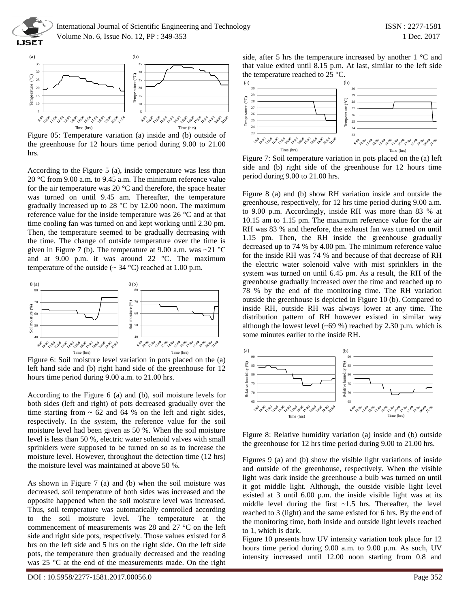



Figure 05: Temperature variation (a) inside and (b) outside of the greenhouse for 12 hours time period during 9.00 to 21.00 hrs.

According to the Figure 5 (a), inside temperature was less than 20 °C from 9.00 a.m. to 9.45 a.m. The minimum reference value for the air temperature was 20 $\degree$ C and therefore, the space heater was turned on until 9.45 am. Thereafter, the temperature gradually increased up to 28 °C by 12.00 noon. The maximum reference value for the inside temperature was 26 °C and at that time cooling fan was turned on and kept working until 2.30 pm. Then, the temperature seemed to be gradually decreasing with the time. The change of outside temperature over the time is given in Figure 7 (b). The temperature at 9.00 a.m. was  $\sim$ 21 °C and at 9.00 p.m. it was around 22 °C. The maximum temperature of the outside ( $\sim$  34 °C) reached at 1.00 p.m.



Figure 6: Soil moisture level variation in pots placed on the (a) left hand side and (b) right hand side of the greenhouse for 12 hours time period during 9.00 a.m. to 21.00 hrs.

According to the Figure 6 (a) and (b), soil moisture levels for both sides (left and right) of pots decreased gradually over the time starting from  $\sim$  62 and 64 % on the left and right sides, respectively. In the system, the reference value for the soil moisture level had been given as 50 %. When the soil moisture level is less than 50 %, electric water solenoid valves with small sprinklers were supposed to be turned on so as to increase the moisture level. However, throughout the detection time (12 hrs) the moisture level was maintained at above 50 %.

As shown in Figure 7 (a) and (b) when the soil moisture was decreased, soil temperature of both sides was increased and the opposite happened when the soil moisture level was increased. Thus, soil temperature was automatically controlled according to the soil moisture level. The temperature at the commencement of measurements was 28 and 27 °C on the left side and right side pots, respectively. Those values existed for 8 hrs on the left side and 5 hrs on the right side. On the left side pots, the temperature then gradually decreased and the reading was 25 °C at the end of the measurements made. On the right

DOI : 10.5958/2277-1581.2017.00056.0 Page 352

side, after 5 hrs the temperature increased by another 1 °C and that value exited until 8.15 p.m. At last, similar to the left side



Figure 7: Soil temperature variation in pots placed on the (a) left side and (b) right side of the greenhouse for 12 hours time period during 9.00 to 21.00 hrs.

Figure 8 (a) and (b) show RH variation inside and outside the greenhouse, respectively, for 12 hrs time period during 9.00 a.m. to 9.00 p.m. Accordingly, inside RH was more than 83 % at 10.15 am to 1.15 pm. The maximum reference value for the air RH was 83 % and therefore, the exhaust fan was turned on until 1.15 pm. Then, the RH inside the greenhouse gradually decreased up to 74 % by 4.00 pm. The minimum reference value for the inside RH was 74 % and because of that decrease of RH the electric water solenoid valve with mist sprinklers in the system was turned on until 6.45 pm. As a result, the RH of the greenhouse gradually increased over the time and reached up to 78 % by the end of the monitoring time. The RH variation outside the greenhouse is depicted in Figure 10 (b). Compared to inside RH, outside RH was always lower at any time. The distribution pattern of RH however existed in similar way although the lowest level  $({\sim}69\%)$  reached by 2.30 p.m. which is some minutes earlier to the inside RH.



Figure 8: Relative humidity variation (a) inside and (b) outside the greenhouse for 12 hrs time period during 9.00 to 21.00 hrs.

Figures 9 (a) and (b) show the visible light variations of inside and outside of the greenhouse, respectively. When the visible light was dark inside the greenhouse a bulb was turned on until it got middle light. Although, the outside visible light level existed at 3 until 6.00 p.m. the inside visible light was at its middle level during the first  $\sim 1.5$  hrs. Thereafter, the level reached to 3 (light) and the same existed for 6 hrs. By the end of the monitoring time, both inside and outside light levels reached to 1, which is dark.

Figure 10 presents how UV intensity variation took place for 12 hours time period during 9.00 a.m. to 9.00 p.m. As such, UV intensity increased until 12.00 noon starting from 0.8 and